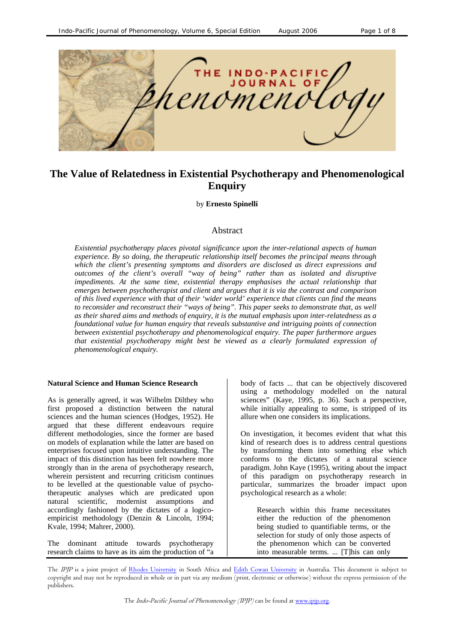

# **The Value of Relatedness in Existential Psychotherapy and Phenomenological Enquiry**

by **Ernesto Spinelli**

## Abstract

*Existential psychotherapy places pivotal significance upon the inter-relational aspects of human experience. By so doing, the therapeutic relationship itself becomes the principal means through which the client's presenting symptoms and disorders are disclosed as direct expressions and outcomes of the client's overall "way of being" rather than as isolated and disruptive impediments. At the same time, existential therapy emphasises the actual relationship that emerges between psychotherapist and client and argues that it is via the contrast and comparison of this lived experience with that of their 'wider world' experience that clients can find the means to reconsider and reconstruct their "ways of being". This paper seeks to demonstrate that, as well as their shared aims and methods of enquiry, it is the mutual emphasis upon inter-relatedness as a foundational value for human enquiry that reveals substantive and intriguing points of connection between existential psychotherapy and phenomenological enquiry. The paper furthermore argues that existential psychotherapy might best be viewed as a clearly formulated expression of phenomenological enquiry.* 

### **Natural Science and Human Science Research**

As is generally agreed, it was Wilhelm Dilthey who first proposed a distinction between the natural sciences and the human sciences (Hodges, 1952). He argued that these different endeavours require different methodologies, since the former are based on models of explanation while the latter are based on enterprises focused upon intuitive understanding. The impact of this distinction has been felt nowhere more strongly than in the arena of psychotherapy research, wherein persistent and recurring criticism continues to be levelled at the questionable value of psychotherapeutic analyses which are predicated upon natural scientific, modernist assumptions and accordingly fashioned by the dictates of a logicoempiricist methodology (Denzin & Lincoln, 1994; Kvale, 1994; Mahrer, 2000).

The dominant attitude towards psychotherapy research claims to have as its aim the production of "a body of facts ... that can be objectively discovered using a methodology modelled on the natural sciences" (Kaye, 1995, p. 36). Such a perspective, while initially appealing to some, is stripped of its allure when one considers its implications.

On investigation, it becomes evident that what this kind of research does is to address central questions by transforming them into something else which conforms to the dictates of a natural science paradigm. John Kaye (1995), writing about the impact of this paradigm on psychotherapy research in particular, summarizes the broader impact upon psychological research as a whole:

Research within this frame necessitates either the reduction of the phenomenon being studied to quantifiable terms, or the selection for study of only those aspects of the phenomenon which can be converted into measurable terms. ... [T]his can only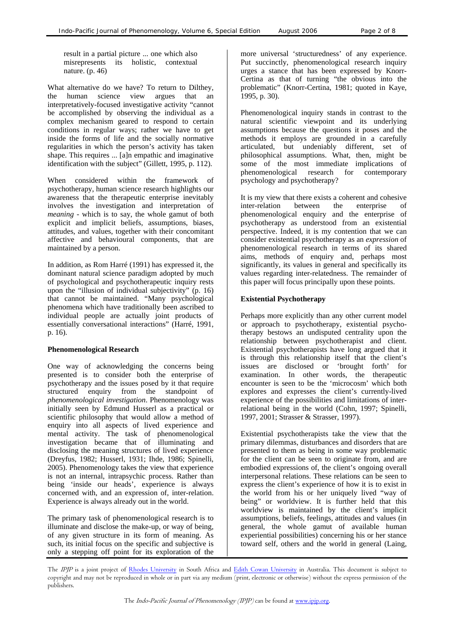result in a partial picture ... one which also misrepresents its holistic, contextual nature. (p. 46)

What alternative do we have? To return to Dilthey, the human science view argues that an interpretatively-focused investigative activity "cannot be accomplished by observing the individual as a complex mechanism geared to respond to certain conditions in regular ways; rather we have to get inside the forms of life and the socially normative regularities in which the person's activity has taken shape. This requires ... [a]n empathic and imaginative identification with the subject" (Gillett, 1995, p. 112).

When considered within the framework of psychotherapy, human science research highlights our awareness that the therapeutic enterprise inevitably involves the investigation and interpretation of *meaning* - which is to say, the whole gamut of both explicit and implicit beliefs, assumptions, biases, attitudes, and values, together with their concomitant affective and behavioural components, that are maintained by a person.

In addition, as Rom Harré (1991) has expressed it, the dominant natural science paradigm adopted by much of psychological and psychotherapeutic inquiry rests upon the "illusion of individual subjectivity" (p. 16) that cannot be maintained. "Many psychological phenomena which have traditionally been ascribed to individual people are actually joint products of essentially conversational interactions" (Harré, 1991, p. 16).

#### **Phenomenological Research**

One way of acknowledging the concerns being presented is to consider both the enterprise of psychotherapy and the issues posed by it that require structured enquiry from the standpoint of *phenomenological investigation*. Phenomenology was initially seen by Edmund Husserl as a practical or scientific philosophy that would allow a method of enquiry into all aspects of lived experience and mental activity. The task of phenomenological investigation became that of illuminating and disclosing the meaning structures of lived experience (Dreyfus, 1982; Husserl, 1931; Ihde, 1986; Spinelli, 2005). Phenomenology takes the view that experience is not an internal, intrapsychic process. Rather than being 'inside our heads', experience is always concerned with, and an expression of, inter-relation. Experience is always already out in the world.

The primary task of phenomenological research is to illuminate and disclose the make-up, or way of being, of any given structure in its form of meaning. As such, its initial focus on the specific and subjective is only a stepping off point for its exploration of the more universal 'structuredness' of any experience. Put succinctly, phenomenological research inquiry urges a stance that has been expressed by Knorr-Certina as that of turning "the obvious into the problematic" (Knorr-Certina, 1981; quoted in Kaye, 1995, p. 30).

Phenomenological inquiry stands in contrast to the natural scientific viewpoint and its underlying assumptions because the questions it poses and the methods it employs are grounded in a carefully articulated, but undeniably different, set of philosophical assumptions. What, then, might be some of the most immediate implications of phenomenological research for contemporary psychology and psychotherapy?

It is my view that there exists a coherent and cohesive inter-relation between the enterprise of phenomenological enquiry and the enterprise of psychotherapy as understood from an existential perspective. Indeed, it is my contention that we can consider existential psychotherapy as an *expression* of phenomenological research in terms of its shared aims, methods of enquiry and, perhaps most significantly, its values in general and specifically its values regarding inter-relatedness. The remainder of this paper will focus principally upon these points.

## **Existential Psychotherapy**

Perhaps more explicitly than any other current model or approach to psychotherapy, existential psychotherapy bestows an undisputed centrality upon the relationship between psychotherapist and client. Existential psychotherapists have long argued that it is through this relationship itself that the client's issues are disclosed or 'brought forth' for examination. In other words, the therapeutic encounter is seen to be the 'microcosm' which both explores and expresses the client's currently-lived experience of the possibilities and limitations of interrelational being in the world (Cohn, 1997; Spinelli, 1997, 2001; Strasser & Strasser, 1997).

Existential psychotherapists take the view that the primary dilemmas, disturbances and disorders that are presented to them as being in some way problematic for the client can be seen to originate from, and are embodied expressions of, the client's ongoing overall interpersonal relations. These relations can be seen to express the client's experience of how it is to exist in the world from his or her uniquely lived "way of being" or worldview. It is further held that this worldview is maintained by the client's implicit assumptions, beliefs, feelings, attitudes and values (in general, the whole gamut of available human experiential possibilities) concerning his or her stance toward self, others and the world in general (Laing,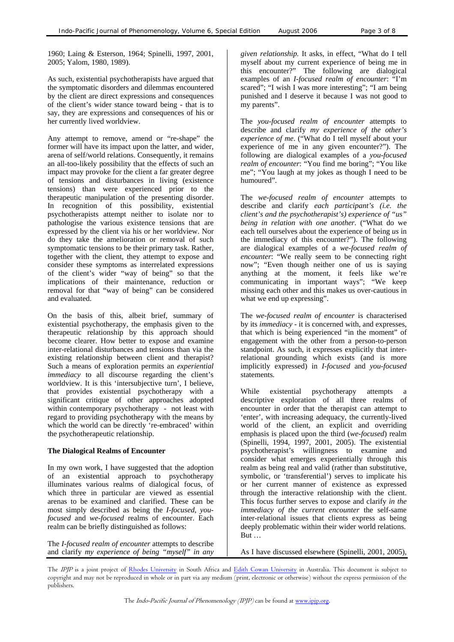1960; Laing & Esterson, 1964; Spinelli, 1997, 2001, 2005; Yalom, 1980, 1989).

As such, existential psychotherapists have argued that the symptomatic disorders and dilemmas encountered by the client are direct expressions and consequences of the client's wider stance toward being - that is to say, they are expressions and consequences of his or her currently lived worldview.

Any attempt to remove, amend or "re-shape" the former will have its impact upon the latter, and wider, arena of self/world relations. Consequently, it remains an all-too-likely possibility that the effects of such an impact may provoke for the client a far greater degree of tensions and disturbances in living (existence tensions) than were experienced prior to the therapeutic manipulation of the presenting disorder. In recognition of this possibility, existential psychotherapists attempt neither to isolate nor to pathologise the various existence tensions that are expressed by the client via his or her worldview. Nor do they take the amelioration or removal of such symptomatic tensions to be their primary task. Rather, together with the client, they attempt to expose and consider these symptoms as interrelated expressions of the client's wider "way of being" so that the implications of their maintenance, reduction or removal for that "way of being" can be considered and evaluated.

On the basis of this, albeit brief, summary of existential psychotherapy, the emphasis given to the therapeutic relationship by this approach should become clearer. How better to expose and examine inter-relational disturbances and tensions than via the existing relationship between client and therapist? Such a means of exploration permits an *experiential immediacy* to all discourse regarding the client's worldview. It is this 'intersubjective turn', I believe, that provides existential psychotherapy with a significant critique of other approaches adopted within contemporary psychotherapy - not least with regard to providing psychotherapy with the means by which the world can be directly 're-embraced' within the psychotherapeutic relationship.

## **The Dialogical Realms of Encounter**

In my own work, I have suggested that the adoption of an existential approach to psychotherapy illuminates various realms of dialogical focus, of which three in particular are viewed as essential arenas to be examined and clarified. These can be most simply described as being the *I-focused*, *youfocused* and *we-focused* realms of encounter. Each realm can be briefly distinguished as follows:

The *I-focused realm of encounter* attempts to describe and clarify *my experience of being "myself" in any* *given relationship.* It asks, in effect, "What do I tell myself about my current experience of being me in this encounter?" The following are dialogical examples of an *I-focused realm of encounter*: "I'm scared"; "I wish I was more interesting"; "I am being punished and I deserve it because I was not good to my parents".

The *you-focused realm of encounter* attempts to describe and clarify *my experience of the other's experience of me*. ("What do I tell myself about your experience of me in any given encounter?"). The following are dialogical examples of a *you-focused realm of encounter*: "You find me boring"; "You like me"; "You laugh at my jokes as though I need to be humoured".

The *we-focused realm of encounter* attempts to describe and clarify *each participant's (i.e. the client's and the psychotherapist's) experience of "us" being in relation with one another*. ("What do we each tell ourselves about the experience of being *us* in the immediacy of this encounter?"). The following are dialogical examples of a *we-focused realm of encounter*: "We really seem to be connecting right now"; "Even though neither one of us is saying anything at the moment, it feels like we're communicating in important ways"; "We keep missing each other and this makes us over-cautious in what we end up expressing".

The *we-focused realm of encounter* is characterised by its *immediacy* - it is concerned with, and expresses, that which is being experienced "in the moment" of engagement with the other from a person-to-person standpoint. As such, it expresses explicitly that interrelational grounding which exists (and is more implicitly expressed) in *I-focused* and *you-focused* statements*.*

While existential psychotherapy attempts descriptive exploration of all three realms of encounter in order that the therapist can attempt to 'enter', with increasing adequacy, the currently-lived world of the client, an explicit and overriding emphasis is placed upon the third (*we-focused*) realm (Spinelli, 1994, 1997, 2001, 2005). The existential psychotherapist's willingness to examine and consider what emerges experientially through this realm as being real and valid (rather than substitutive, symbolic, or 'transferential') serves to implicate his or her current manner of existence as expressed through the interactive relationship with the client. This focus further serves to expose and clarify *in the immediacy of the current encounter* the self-same inter-relational issues that clients express as being deeply problematic within their wider world relations. But …

As I have discussed elsewhere (Spinelli, 2001, 2005),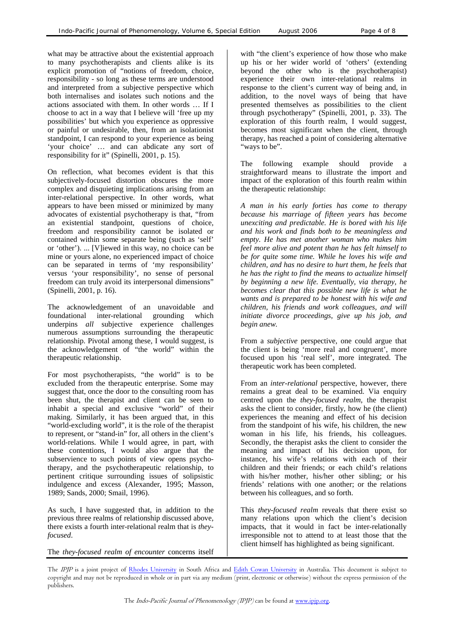what may be attractive about the existential approach to many psychotherapists and clients alike is its explicit promotion of "notions of freedom, choice, responsibility - so long as these terms are understood and interpreted from a subjective perspective which both internalises and isolates such notions and the actions associated with them. In other words … If I choose to act in a way that I believe will 'free up my possibilities' but which you experience as oppressive or painful or undesirable, then, from an isolationist standpoint, I can respond to your experience as being 'your choice' … and can abdicate any sort of responsibility for it" (Spinelli, 2001, p. 15).

On reflection, what becomes evident is that this subjectively-focused distortion obscures the more complex and disquieting implications arising from an inter-relational perspective. In other words, what appears to have been missed or minimized by many advocates of existential psychotherapy is that, "from an existential standpoint, questions of choice, freedom and responsibility cannot be isolated or contained within some separate being (such as 'self' or 'other'). ... [V]iewed in this way, no choice can be mine or yours alone, no experienced impact of choice can be separated in terms of 'my responsibility' versus 'your responsibility', no sense of personal freedom can truly avoid its interpersonal dimensions" (Spinelli, 2001, p. 16).

The acknowledgement of an unavoidable and foundational inter-relational grounding which underpins *all* subjective experience challenges numerous assumptions surrounding the therapeutic relationship. Pivotal among these, I would suggest, is the acknowledgement of "the world" within the therapeutic relationship.

For most psychotherapists, "the world" is to be excluded from the therapeutic enterprise. Some may suggest that, once the door to the consulting room has been shut, the therapist and client can be seen to inhabit a special and exclusive "world" of their making. Similarly, it has been argued that, in this "world-excluding world", it is the role of the therapist to represent, or "stand-in" for, all others in the client's world-relations. While I would agree, in part, with these contentions, I would also argue that the subservience to such points of view opens psychotherapy, and the psychotherapeutic relationship, to pertinent critique surrounding issues of solipsistic indulgence and excess (Alexander, 1995; Masson, 1989; Sands, 2000; Smail, 1996).

As such, I have suggested that, in addition to the previous three realms of relationship discussed above, there exists a fourth inter-relational realm that is *theyfocused*.

The *they-focused realm of encounter* concerns itself

with "the client's experience of how those who make up his or her wider world of 'others' (extending beyond the other who is the psychotherapist) experience their own inter-relational realms in response to the client's current way of being and, in addition, to the novel ways of being that have presented themselves as possibilities to the client through psychotherapy" (Spinelli, 2001, p. 33). The exploration of this fourth realm, I would suggest, becomes most significant when the client, through therapy, has reached a point of considering alternative "ways to be".

The following example should provide a straightforward means to illustrate the import and impact of the exploration of this fourth realm within the therapeutic relationship:

*A man in his early forties has come to therapy because his marriage of fifteen years has become unexciting and predictable. He is bored with his life and his work and finds both to be meaningless and empty. He has met another woman who makes him feel more alive and potent than he has felt himself to be for quite some time. While he loves his wife and children, and has no desire to hurt them, he feels that he has the right to find the means to actualize himself by beginning a new life. Eventually, via therapy, he becomes clear that this possible new life is what he wants and is prepared to be honest with his wife and children, his friends and work colleagues, and will initiate divorce proceedings, give up his job, and begin anew.*

From a *subjective* perspective, one could argue that the client is being 'more real and congruent', more focused upon his 'real self', more integrated. The therapeutic work has been completed.

From an *inter-relational* perspective, however, there remains a great deal to be examined. Via enquiry centred upon the *they-focused realm*, the therapist asks the client to consider, firstly, how he (the client) experiences the meaning and effect of his decision from the standpoint of his wife, his children, the new woman in his life, his friends, his colleagues. Secondly, the therapist asks the client to consider the meaning and impact of his decision upon, for instance, his wife's relations with each of their children and their friends; or each child's relations with his/her mother, his/her other sibling; or his friends' relations with one another; or the relations between his colleagues, and so forth.

This *they-focused realm* reveals that there exist so many relations upon which the client's decision impacts, that it would in fact be inter-relationally irresponsible not to attend to at least those that the client himself has highlighted as being significant.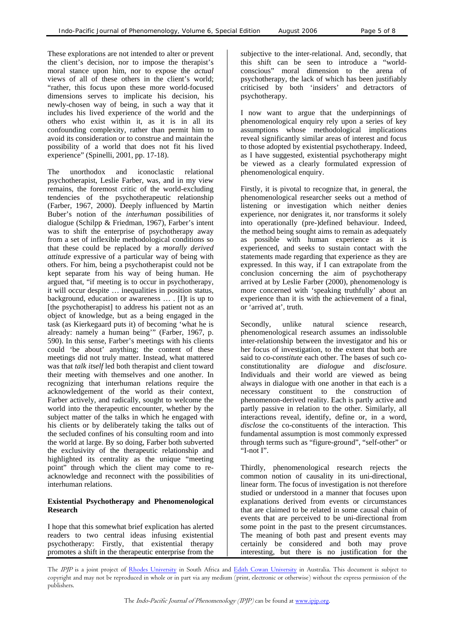These explorations are not intended to alter or prevent the client's decision, nor to impose the therapist's moral stance upon him, nor to expose the *actual* views of all of these others in the client's world; "rather, this focus upon these more world-focused dimensions serves to implicate his decision, his newly-chosen way of being, in such a way that it includes his lived experience of the world and the others who exist within it, as it is in all its confounding complexity, rather than permit him to avoid its consideration or to construe and maintain the possibility of a world that does not fit his lived experience" (Spinelli, 2001, pp. 17-18).

The unorthodox and iconoclastic relational psychotherapist, Leslie Farber, was, and in my view remains, the foremost critic of the world-excluding tendencies of the psychotherapeutic relationship (Farber, 1967, 2000). Deeply influenced by Martin Buber's notion of the *interhuman* possibilities of dialogue (Schilpp & Friedman, 1967), Farber's intent was to shift the enterprise of psychotherapy away from a set of inflexible methodological conditions so that these could be replaced by a *morally derived attitude* expressive of a particular way of being with others. For him, being a psychotherapist could not be kept separate from his way of being human. He argued that, "if meeting is to occur in psychotherapy, it will occur despite … inequalities in position status, background, education or awareness … . [I]t is up to [the psychotherapist] to address his patient not as an object of knowledge, but as a being engaged in the task (as Kierkegaard puts it) of becoming 'what he is already: namely a human being'" (Farber, 1967, p. 590). In this sense, Farber's meetings with his clients could 'be about' anything; the content of these meetings did not truly matter. Instead, what mattered was that *talk itself* led both therapist and client toward their meeting with themselves and one another. In recognizing that interhuman relations require the acknowledgement of the world as their context, Farber actively, and radically, sought to welcome the world into the therapeutic encounter, whether by the subject matter of the talks in which he engaged with his clients or by deliberately taking the talks out of the secluded confines of his consulting room and into the world at large. By so doing, Farber both subverted the exclusivity of the therapeutic relationship and highlighted its centrality as the unique "meeting point" through which the client may come to reacknowledge and reconnect with the possibilities of interhuman relations.

### **Existential Psychotherapy and Phenomenological Research**

I hope that this somewhat brief explication has alerted readers to two central ideas infusing existential psychotherapy: Firstly, that existential therapy promotes a shift in the therapeutic enterprise from the

subjective to the inter-relational. And, secondly, that this shift can be seen to introduce a "worldconscious" moral dimension to the arena of psychotherapy, the lack of which has been justifiably criticised by both 'insiders' and detractors of psychotherapy.

I now want to argue that the underpinnings of phenomenological enquiry rely upon a series of key assumptions whose methodological implications reveal significantly similar areas of interest and focus to those adopted by existential psychotherapy. Indeed, as I have suggested, existential psychotherapy might be viewed as a clearly formulated expression of phenomenological enquiry.

Firstly, it is pivotal to recognize that, in general, the phenomenological researcher seeks out a method of listening or investigation which neither denies experience, nor denigrates it, nor transforms it solely into operationally (pre-)defined behaviour. Indeed, the method being sought aims to remain as adequately as possible with human experience as it is experienced, and seeks to sustain contact with the statements made regarding that experience as they are expressed. In this way, if I can extrapolate from the conclusion concerning the aim of psychotherapy arrived at by Leslie Farber (2000), phenomenology is more concerned with 'speaking truthfully' about an experience than it is with the achievement of a final, or 'arrived at', truth.

Secondly, unlike natural science research, phenomenological research assumes an indissoluble inter-relationship between the investigator and his or her focus of investigation, to the extent that both are said to *co-constitute* each other. The bases of such coconstitutionality are *dialogue* and *disclosure*. Individuals and their world are viewed as being always in dialogue with one another in that each is a necessary constituent to the construction of phenomenon-derived reality. Each is partly active and partly passive in relation to the other. Similarly, all interactions reveal, identify, define or, in a word, *disclose* the co-constituents of the interaction. This fundamental assumption is most commonly expressed through terms such as "figure-ground", "self-other" or "I-not I".

Thirdly, phenomenological research rejects the common notion of causality in its uni-directional, linear form. The focus of investigation is not therefore studied or understood in a manner that focuses upon explanations derived from events or circumstances that are claimed to be related in some causal chain of events that are perceived to be uni-directional from some point in the past to the present circumstances. The meaning of both past and present events may certainly be considered and both may prove interesting, but there is no justification for the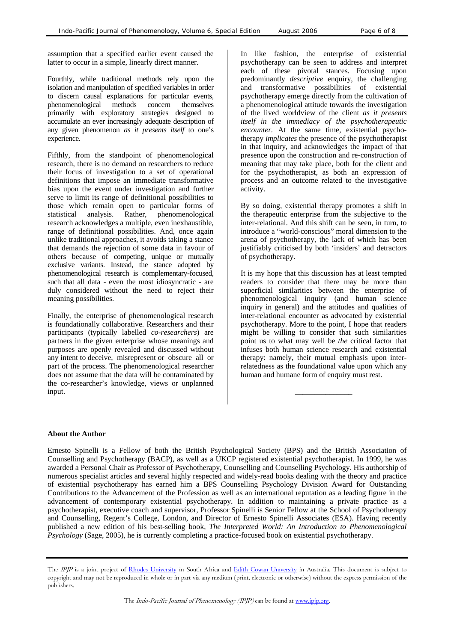assumption that a specified earlier event caused the latter to occur in a simple, linearly direct manner.

Fourthly, while traditional methods rely upon the isolation and manipulation of specified variables in order to discern causal explanations for particular events, phenomenological methods concern themselves primarily with exploratory strategies designed to accumulate an ever increasingly adequate description of any given phenomenon *as it presents itself* to one's experience.

Fifthly, from the standpoint of phenomenological research, there is no demand on researchers to reduce their focus of investigation to a set of operational definitions that impose an immediate transformative bias upon the event under investigation and further serve to limit its range of definitional possibilities to those which remain open to particular forms of statistical analysis. Rather, phenomenological research acknowledges a multiple, even inexhaustible, range of definitional possibilities. And, once again unlike traditional approaches, it avoids taking a stance that demands the rejection of some data in favour of others because of competing, unique or mutually exclusive variants. Instead, the stance adopted by phenomenological research is complementary-focused, such that all data - even the most idiosyncratic - are duly considered without the need to reject their meaning possibilities.

Finally, the enterprise of phenomenological research is foundationally collaborative. Researchers and their participants (typically labelled *co-researchers*) are partners in the given enterprise whose meanings and purposes are openly revealed and discussed without any intent to deceive, misrepresent or obscure all or part of the process. The phenomenological researcher does not assume that the data will be contaminated by the co-researcher's knowledge, views or unplanned input.

In like fashion, the enterprise of existential psychotherapy can be seen to address and interpret each of these pivotal stances. Focusing upon predominantly *descriptive* enquiry, the challenging and transformative possibilities of existential psychotherapy emerge directly from the cultivation of a phenomenological attitude towards the investigation of the lived worldview of the client *as it presents itself in the immediacy of the psychotherapeutic encounter.* At the same time, existential psychotherapy *implicates* the presence of the psychotherapist in that inquiry, and acknowledges the impact of that presence upon the construction and re-construction of meaning that may take place, both for the client and for the psychotherapist, as both an expression of process and an outcome related to the investigative activity.

By so doing, existential therapy promotes a shift in the therapeutic enterprise from the subjective to the inter-relational. And this shift can be seen, in turn, to introduce a "world-conscious" moral dimension to the arena of psychotherapy, the lack of which has been justifiably criticised by both 'insiders' and detractors of psychotherapy.

It is my hope that this discussion has at least tempted readers to consider that there may be more than superficial similarities between the enterprise of phenomenological inquiry (and human science inquiry in general) and the attitudes and qualities of inter-relational encounter as advocated by existential psychotherapy. More to the point, I hope that readers might be willing to consider that such similarities point us to what may well be *the* critical factor that infuses both human science research and existential therapy: namely, their mutual emphasis upon interrelatedness as the foundational value upon which any human and humane form of enquiry must rest.

\_\_\_\_\_\_\_\_\_\_\_\_\_\_\_

## **About the Author**

Ernesto Spinelli is a Fellow of both the British Psychological Society (BPS) and the British Association of Counselling and Psychotherapy (BACP), as well as a UKCP registered existential psychotherapist. In 1999, he was awarded a Personal Chair as Professor of Psychotherapy, Counselling and Counselling Psychology. His authorship of numerous specialist articles and several highly respected and widely-read books dealing with the theory and practice of existential psychotherapy has earned him a BPS Counselling Psychology Division Award for Outstanding Contributions to the Advancement of the Profession as well as an international reputation as a leading figure in the advancement of contemporary existential psychotherapy. In addition to maintaining a private practice as a psychotherapist, executive coach and supervisor, Professor Spinelli is Senior Fellow at the School of Psychotherapy and Counselling, Regent's College, London, and Director of Ernesto Spinelli Associates (ESA). Having recently published a new edition of his best-selling book, *The Interpreted World: An Introduction to Phenomenological Psychology* (Sage, 2005), he is currently completing a practice-focused book on existential psychotherapy.

The IPJP is a joint project of Rhodes University in South Africa and Edith Cowan University in Australia. This document is subject to copyright and may not be reproduced in whole or in part via any medium (print, electronic or otherwise) without the express permission of the publishers.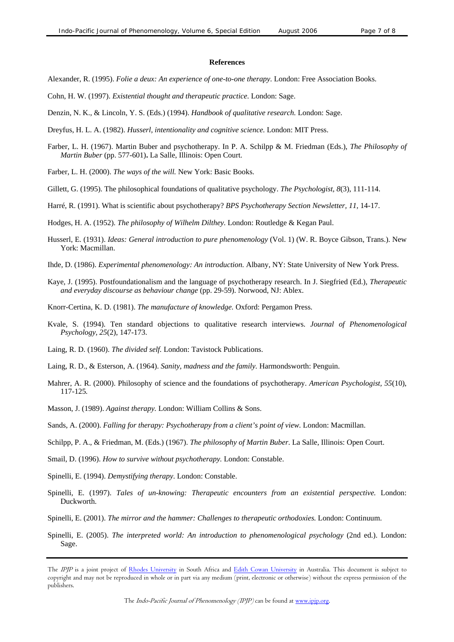#### **References**

- Alexander, R. (1995). *Folie a deux: An experience of one-to-one therapy.* London: Free Association Books.
- Cohn, H. W. (1997). *Existential thought and therapeutic practice*. London: Sage.
- Denzin, N. K., & Lincoln, Y. S. (Eds.) (1994). *Handbook of qualitative research.* London: Sage.
- Dreyfus, H. L. A. (1982). *Husserl, intentionality and cognitive science.* London: MIT Press.
- Farber, L. H. (1967). Martin Buber and psychotherapy. In P. A. Schilpp & M. Friedman (Eds.), *The Philosophy of Martin Buber* (pp. 577-601)**.** La Salle, Illinois: Open Court.
- Farber, L. H. (2000). *The ways of the will.* New York: Basic Books.
- Gillett, G. (1995). The philosophical foundations of qualitative psychology. *The Psychologist, 8*(3), 111-114.
- Harré, R. (1991). What is scientific about psychotherapy? *BPS Psychotherapy Section Newsletter, 11,* 14-17.
- Hodges, H. A. (1952). *The philosophy of Wilhelm Dilthey.* London: Routledge & Kegan Paul.
- Husserl, E. (1931). *Ideas: General introduction to pure phenomenology* (Vol. 1) (W. R. Boyce Gibson, Trans.). New York: Macmillan.
- Ihde, D. (1986). *Experimental phenomenology: An introduction.* Albany, NY: State University of New York Press.
- Kaye, J. (1995). Postfoundationalism and the language of psychotherapy research. In J. Siegfried (Ed.), *Therapeutic and everyday discourse as behaviour change* (pp. 29-59). Norwood, NJ: Ablex.
- Knorr-Certina, K. D. (1981). *The manufacture of knowledge.* Oxford: Pergamon Press.
- Kvale, S. (1994). Ten standard objections to qualitative research interviews. *Journal of Phenomenological Psychology, 25*(2), 147-173.
- Laing, R. D. (1960). *The divided self.* London: Tavistock Publications.
- Laing, R. D., & Esterson, A. (1964). *Sanity, madness and the family.* Harmondsworth: Penguin.
- Mahrer, A. R. (2000). Philosophy of science and the foundations of psychotherapy. *American Psychologist, 55*(10), 117-125*.*
- Masson, J. (1989). *Against therapy.* London: William Collins & Sons.
- Sands, A. (2000). *Falling for therapy: Psychotherapy from a client's point of view.* London: Macmillan.
- Schilpp, P. A., & Friedman, M. (Eds.) (1967). *The philosophy of Martin Buber*. La Salle, Illinois: Open Court.
- Smail, D. (1996). *How to survive without psychotherapy.* London: Constable.
- Spinelli, E. (1994). *Demystifying therapy*. London: Constable.
- Spinelli, E. (1997). *Tales of un-knowing: Therapeutic encounters from an existential perspective.* London: Duckworth.
- Spinelli, E. (2001). *The mirror and the hammer: Challenges to therapeutic orthodoxies.* London: Continuum.
- Spinelli, E. (2005). *The interpreted world: An introduction to phenomenological psychology* (2nd ed.). London: Sage.

The IPJP is a joint project of Rhodes University in South Africa and Edith Cowan University in Australia. This document is subject to copyright and may not be reproduced in whole or in part via any medium (print, electronic or otherwise) without the express permission of the publishers.